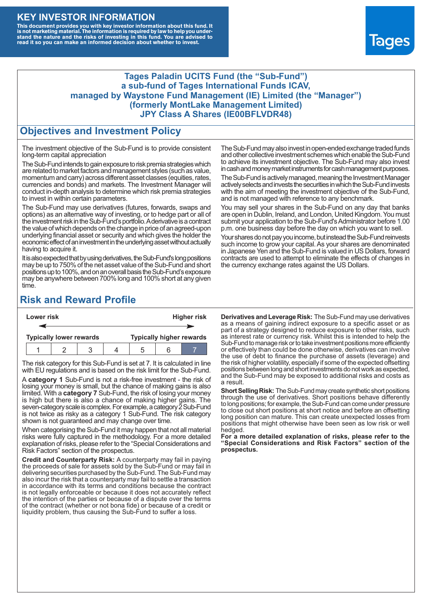#### **KEY INVESTOR INFORMATION**

This document provides you with key investor information about this fund. It<br>is not marketing material. The information is required by law to help you under-<br>stand the nature and the risks of investing in this fund. You ar



#### **Tages Paladin UCITS Fund (the "Sub-Fund") a sub-fund of Tages International Funds ICAV, managed by Waystone Fund Management (IE) Limited (the "Manager") (formerly MontLake Management Limited) JPY Class A Shares (IE00BFLVDR48)**

#### **Objectives and Investment Policy**

The investment objective of the Sub-Fund is to provide consistent long-term capital appreciation

The Sub-Fund intends to gain exposure to risk premia strategies which are related to market factors and management styles (such as value, momentum and carry) across different asset classes (equities, rates, currencies and bonds) and markets. The Investment Manager will conduct in-depth analysis to determine which risk premia strategies to invest in within certain parameters.

The Sub-Fund may use derivatives (futures, forwards, swaps and options) as an alternative way of investing, or to hedge part or all of the investment risk intheSub-Fund's portfolio.Aderivative is a contract the value of which depends on the change in price of an agreed-upon underlying financial asset or security and which gives the holder the economic effect of an investment in the underlying asset without actually having to acquire it.

It is also expected that by using derivatives, the Sub-Fund's long positions may be up to 750% of the net asset value of the Sub-Fund and short positions up to 100%, and on an overall basis the Sub-Fund's exposure may be anywhere between 700% long and 100% short at any given time.

The Sub-Fund may also invest in open-ended exchange traded funds and other collective investment schemes which enable the Sub-Fund to achieve its investment objective. The Sub-Fund may also invest in cash and money market instruments for cash management purposes.

The Sub-Fund is actively managed, meaning the Investment Manager actively selects and invests the securities in which the Sub-Fund invests with the aim of meeting the investment objective of the Sub-Fund, and is not managed with reference to any benchmark.

You may sell your shares in the Sub-Fund on any day that banks are open in Dublin, Ireland, and London, United Kingdom. You must submit your application to the Sub-Fund's Administrator before 1.00 p.m. one business day before the day on which you want to sell.

Your shares do not pay you income, but instead the Sub-Fund reinvests such income to grow your capital. As your shares are denominated in Japanese Yen and the Sub-Fund is valued in US Dollars, forward contracts are used to attempt to eliminate the effects of changes in the currency exchange rates against the US Dollars.

### **Risk and Reward Profile**

| Lower risk |                                |  |  |  |                                 |  | <b>Higher risk</b> |
|------------|--------------------------------|--|--|--|---------------------------------|--|--------------------|
|            |                                |  |  |  |                                 |  |                    |
|            | <b>Typically lower rewards</b> |  |  |  | <b>Typically higher rewards</b> |  |                    |
|            |                                |  |  |  | :5                              |  |                    |

The risk category for this Sub-Fund is set at 7. It is calculated in line with EU regulations and is based on the risk limit for the Sub-Fund.

A **category 1** Sub-Fund is not a risk-free investment - the risk of losing your money is small, but the chance of making gains is also limited. With a **category 7** Sub-Fund, the risk of losing your money is high but there is also a chance of making higher gains. The seven-category scale is complex. For example, a category 2 Sub-Fund is not twice as risky as a category 1 Sub-Fund. The risk category shown is not guaranteed and may change over time.

When categorising the Sub-Fund it may happen that not all material risks were fully captured in the methodology. For a more detailed explanation of risks, please refer to the "Special Considerations and Risk Factors" section of the prospectus.

**Credit and Counterparty Risk:** A counterparty may fail in paying the proceeds of sale for assets sold by the Sub-Fund or may fail in delivering securities purchased by the Sub-Fund. The Sub-Fund may also incur the risk that a counterparty may fail to settle a transaction in accordance with its terms and conditions because the contract is not legally enforceable or because it does not accurately reflect the intention of the parties or because of a dispute over the terms of the contract (whether or not bona fide) or because of a credit or liquidity problem, thus causing the Sub-Fund to suffer a loss.

**Derivatives and Leverage Risk:** The Sub-Fund may use derivatives as a means of gaining indirect exposure to a specific asset or as part of a strategy designed to reduce exposure to other risks, such as interest rate or currency risk. Whilst this is intended to help the Sub-Fund to manage risk or to take investment positions more efficiently or effectively than could be done otherwise, derivatives can involve the use of debt to finance the purchase of assets (leverage) and the risk of higher volatility, especially if some of the expected offsetting positions between long and short investments do not work as expected, and the Sub-Fund may be exposed to additional risks and costs as a result.

**Short Selling Risk:** The Sub-Fund may create synthetic short positions through the use of derivatives. Short positions behave differently to long positions; for example, the Sub-Fund can come under pressure to close out short positions at short notice and before an offsetting long position can mature. This can create unexpected losses from positions that might otherwise have been seen as low risk or well hedged.

**For a more detailed explanation of risks, please refer to the "Special Considerations and Risk Factors" section of the prospectus.**